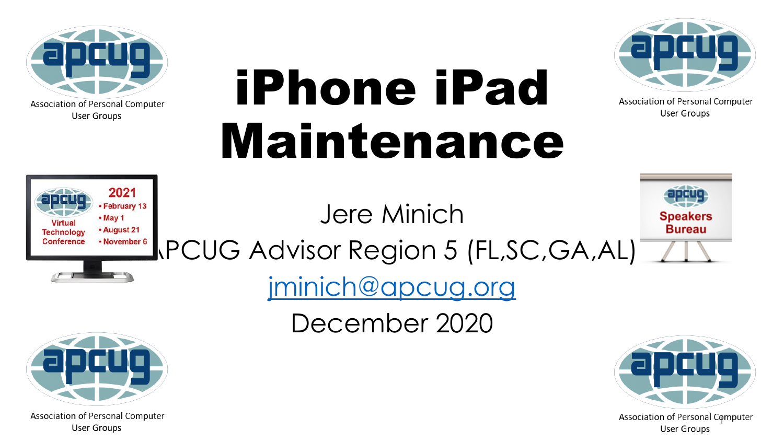

# iPhone iPad Maintenance



Association of Personal Computer User Groups



Jere Minich



TROVEINDER 6 RCUG Advisor Region 5 (FL, SC, GA, AL)

[jminich@apcug.org](mailto:jminich@apcug.org)

December 2020



Association of Personal Computer User Groups



Association of Personal Computer User Groups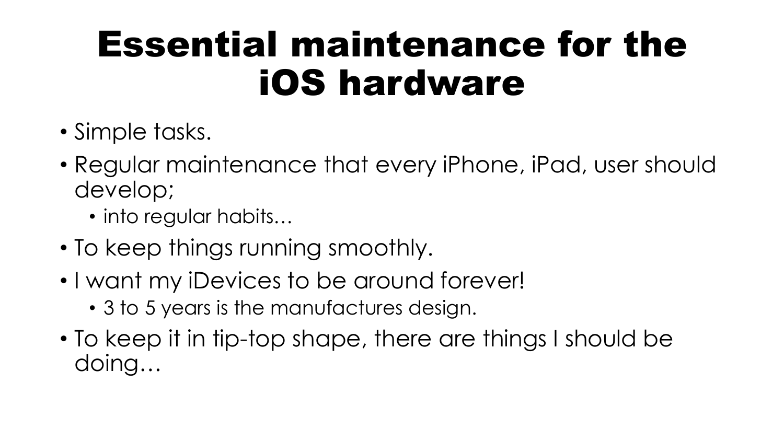#### Essential maintenance for the iOS hardware

- Simple tasks.
- Regular maintenance that every iPhone, iPad, user should develop;
	- into regular habits…
- To keep things running smoothly.
- I want my iDevices to be around forever!
	- 3 to 5 years is the manufactures design.
- To keep it in tip-top shape, there are things I should be doing…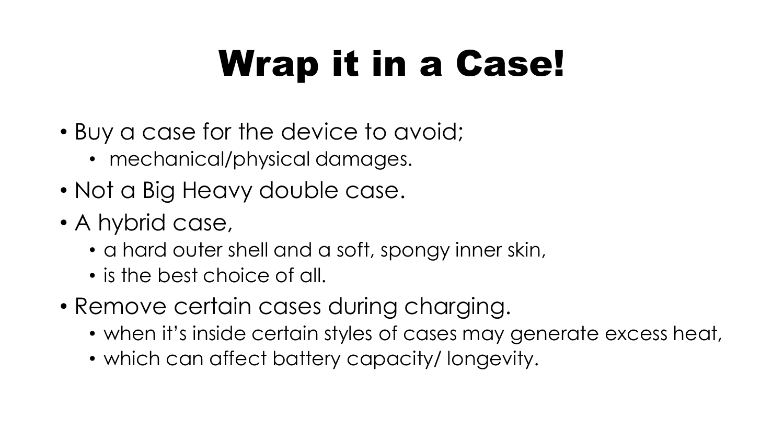### Wrap it in a Case!

- Buy a case for the device to avoid;
	- mechanical/physical damages.
- Not a Big Heavy double case.
- A hybrid case,
	- a hard outer shell and a soft, spongy inner skin,
	- is the best choice of all.
- Remove certain cases during charging.
	- when it's inside certain styles of cases may generate excess heat,
	- which can affect battery capacity/ longevity.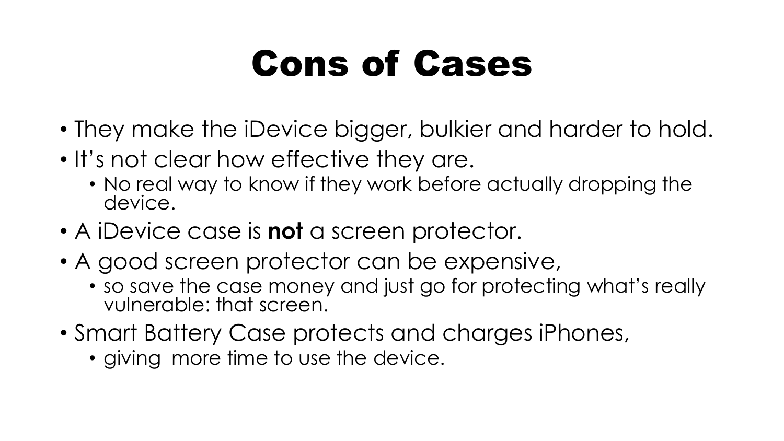#### Cons of Cases

- They make the iDevice bigger, bulkier and harder to hold.
- It's not clear how effective they are.
	- No real way to know if they work before actually dropping the device.
- A iDevice case is **not** a screen protector.
- A good screen protector can be expensive,
	- so save the case money and just go for protecting what's really vulnerable: that screen.
- Smart Battery Case protects and charges iPhones,
	- giving more time to use the device.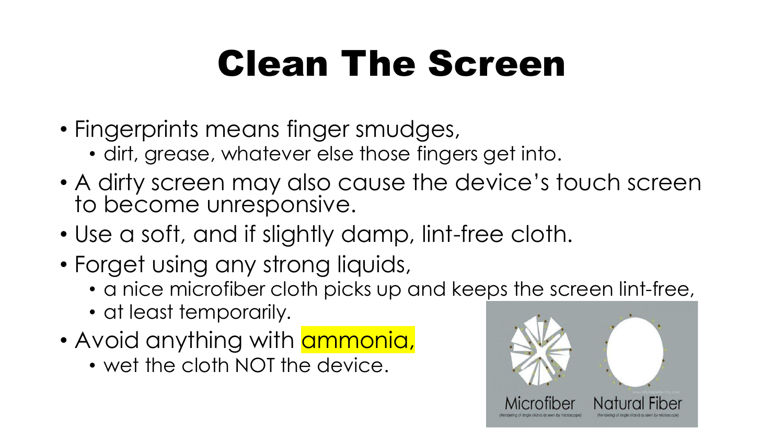#### Clean The Screen

- Fingerprints means finger smudges,
	- dirt, grease, whatever else those fingers get into.
- A dirty screen may also cause the device's touch screen to become unresponsive.
- Use a soft, and if slightly damp, lint-free cloth.
- Forget using any strong liquids,
	- a nice microfiber cloth picks up and keeps the screen lint-free,
	- at least temporarily.
- Avoid anything with **ammonia**,
	- wet the cloth NOT the device.

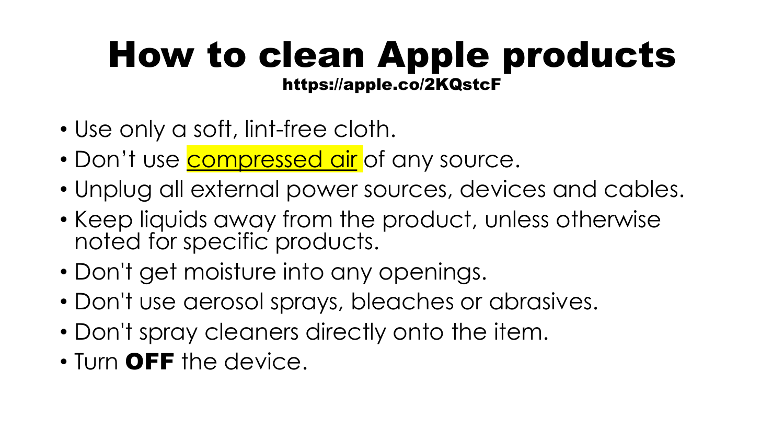#### How to clean Apple products https://apple.co/2KQstcF

- Use only a soft, lint-free cloth.
- Don't use **compressed air** of any source.
- Unplug all external power sources, devices and cables.
- Keep liquids away from the product, unless otherwise noted for specific products.
- Don't get moisture into any openings.
- Don't use aerosol sprays, bleaches or abrasives.
- Don't spray cleaners directly onto the item.
- Turn OFF the device.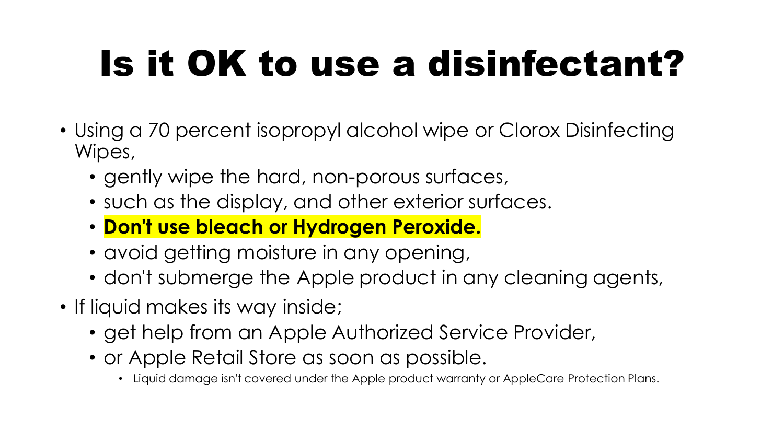### Is it OK to use a disinfectant?

- Using a 70 percent isopropyl alcohol wipe or Clorox Disinfecting Wipes,
	- gently wipe the hard, non-porous surfaces,
	- such as the display, and other exterior surfaces.
	- **Don't use bleach or Hydrogen Peroxide.**
	- avoid getting moisture in any opening,
	- don't submerge the Apple product in any cleaning agents,
- If liquid makes its way inside;
	- get help from an Apple Authorized Service Provider,
	- or Apple Retail Store as soon as possible.
		- Liquid damage isn't covered under the Apple product warranty or AppleCare Protection Plans.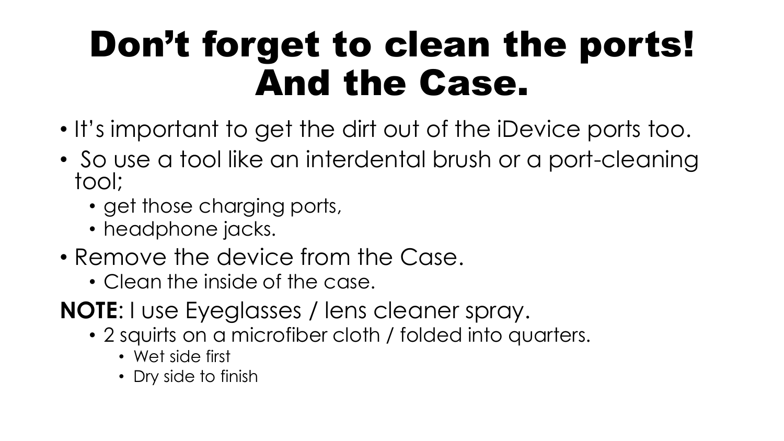#### Don't forget to clean the ports! And the Case.

- It's important to get the dirt out of the iDevice ports too.
- So use a tool like an interdental brush or a port-cleaning tool;
	- get those charging ports,
	- headphone jacks.
- Remove the device from the Case.
	- Clean the inside of the case.
- **NOTE**: I use Eyeglasses / lens cleaner spray.
	- 2 squirts on a microfiber cloth / folded into quarters.
		- Wet side first
		- Dry side to finish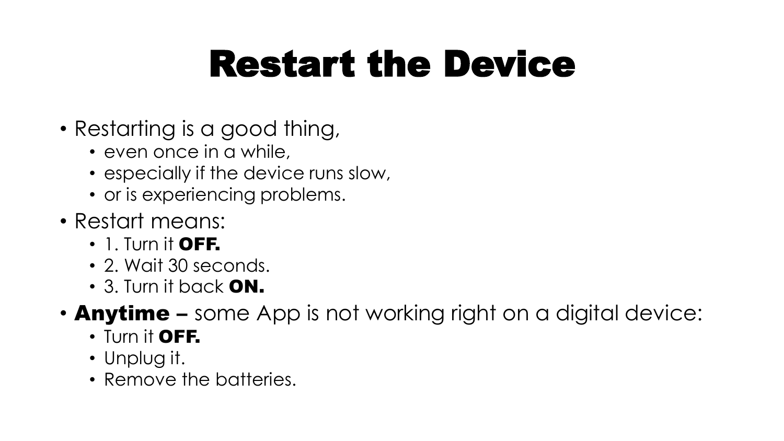#### Restart the Device

- Restarting is a good thing,
	- even once in a while,
	- especially if the device runs slow,
	- or is experiencing problems.
- Restart means:
	- $\cdot$  1. Turn it OFF.
	- 2. Wait 30 seconds.
	- 3. Turn it back ON.
- **Anytime** some App is not working right on a digital device:
	- Turn it OFF.
	- Unplug it.
	- Remove the batteries.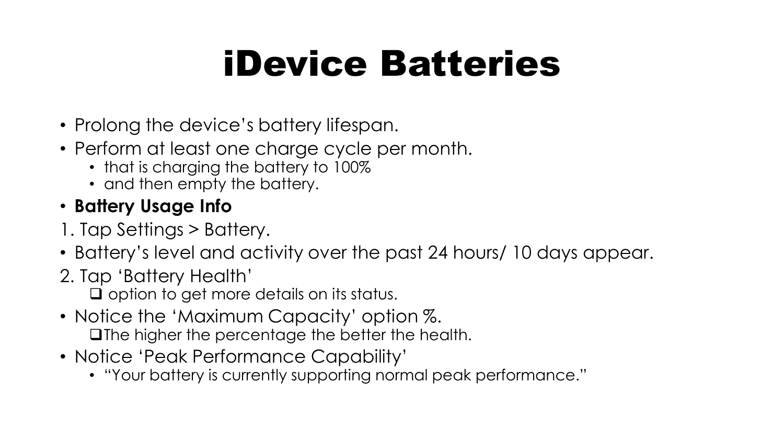#### iDevice Batteries

- Prolong the device's battery lifespan.
- Perform at least one charge cycle per month.
	- that is charging the battery to 100%
	- and then empty the battery.

#### • **Battery Usage Info**

- 1. Tap Settings > Battery.
- Battery's level and activity over the past 24 hours/ 10 days appear.
- 2. Tap 'Battery Health'

❑ option to get more details on its status.

- Notice the 'Maximum Capacity' option %. ❑The higher the percentage the better the health.
- Notice 'Peak Performance Capability'
	- "Your battery is currently supporting normal peak performance."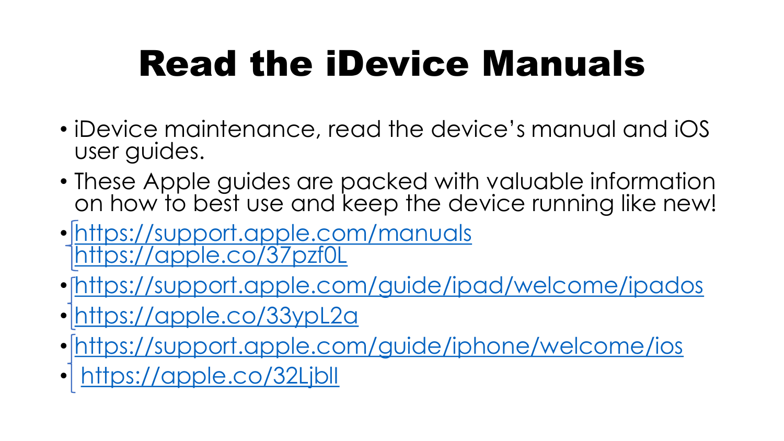#### Read the iDevice Manuals

- iDevice maintenance, read the device's manual and iOS user guides.
- These Apple guides are packed with valuable information on how to best use and keep the device running like new!
- <https://support.apple.com/manuals> <https://apple.co/37pzf0L>
- <https://support.apple.com/guide/ipad/welcome/ipados>
- <https://apple.co/33ypL2a>
- <https://support.apple.com/guide/iphone/welcome/ios>
- <https://apple.co/32LjblI>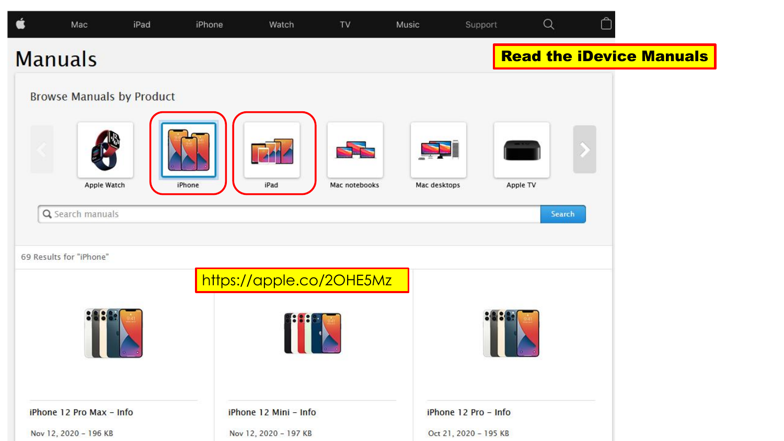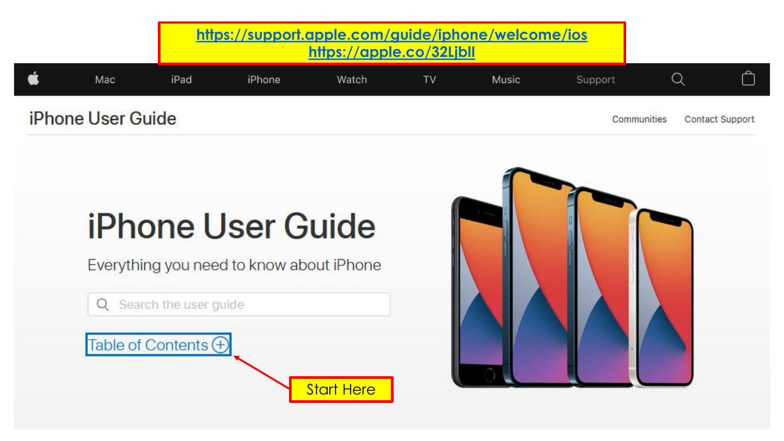|                          |     |      | https://support.apple.com/guide/iphone/welcome/ios<br>https://apple.co/32Ljbll |       |  |       |             |  |                        |
|--------------------------|-----|------|--------------------------------------------------------------------------------|-------|--|-------|-------------|--|------------------------|
|                          | Mac | iPad | iPhone                                                                         | Watch |  | Music | Support     |  |                        |
| <b>iPhone User Guide</b> |     |      |                                                                                |       |  |       | Communities |  | <b>Contact Support</b> |

Start Here

#### **iPhone User Guide**

Everything you need to know about iPhone

Q Search the user guide

Table of Contents +

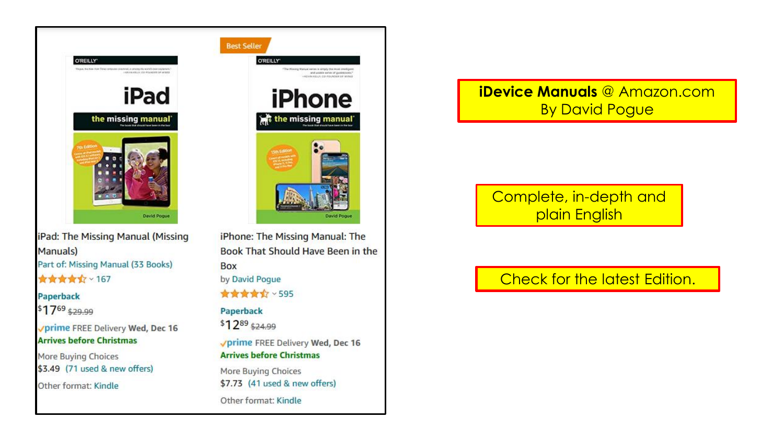

iPad: The Missing Manual (Missing Manuals) Part of: Missing Manual (33 Books) **食食食食** × 167

#### Paperback

 $$17^{69}$ \$29.99

√prime FREE Delivery Wed, Dec 16 **Arrives before Christmas** 

More Buying Choices \$3.49 (71 used & new offers)

Other format: Kindle

iPhone: The Missing Manual: The Book That Should Have Been in the **Box** by David Pogue ★★★★☆ > 595 Paperback \$1289 \$24.99 **Vprime FREE Delivery Wed, Dec 16 Arrives before Christmas** More Buying Choices

\$7.73 (41 used & new offers)

Other format: Kindle

#### **iDevice Manuals** @ Amazon.com By David Pogue

Complete, in-depth and plain English

#### Check for the latest Edition.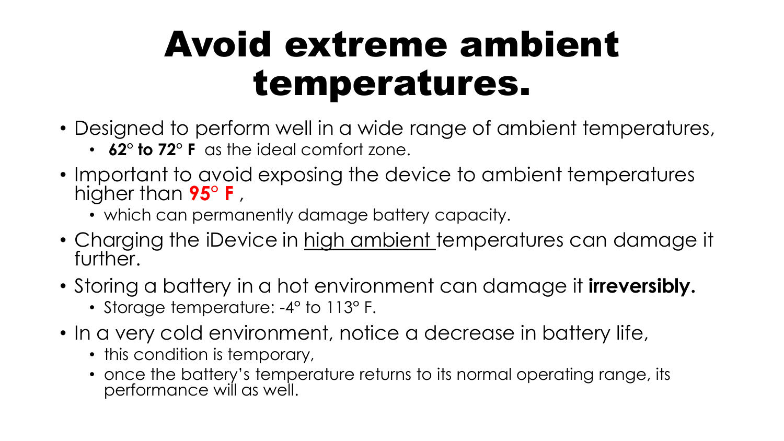#### Avoid extreme ambient temperatures.

- Designed to perform well in a wide range of ambient temperatures,
	- **62° to 72° F** as the ideal comfort zone.
- Important to avoid exposing the device to ambient temperatures higher than **95° F** ,
	- which can permanently damage battery capacity.
- Charging the iDevice in high ambient temperatures can damage it further.
- Storing a battery in a hot environment can damage it **irreversibly.**
	- Storage temperature: -4° to 113° F.
- In a very cold environment, notice a decrease in battery life,
	- this condition is temporary,
	- once the battery's temperature returns to its normal operating range, its performance will as well.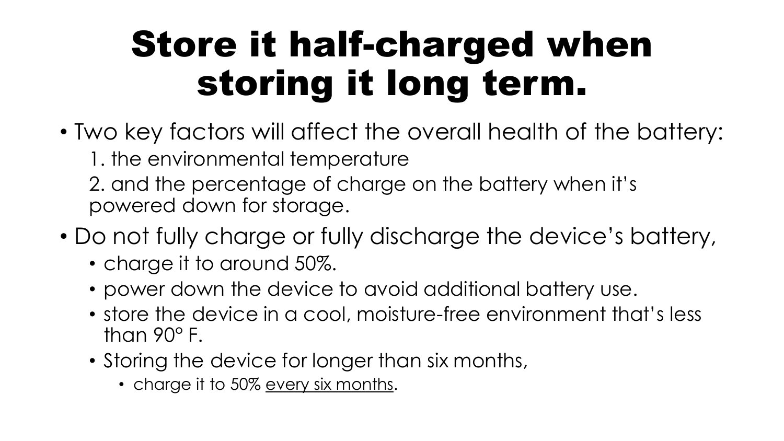#### Store it half-charged when storing it long term.

- Two key factors will affect the overall health of the battery:
	- 1. the environmental temperature
	- 2. and the percentage of charge on the battery when it's powered down for storage.
- Do not fully charge or fully discharge the device's battery,
	- charge it to around 50%.
	- power down the device to avoid additional battery use.
	- store the device in a cool, moisture-free environment that's less than 90° F.
	- Storing the device for longer than six months,
		- charge it to 50% every six months.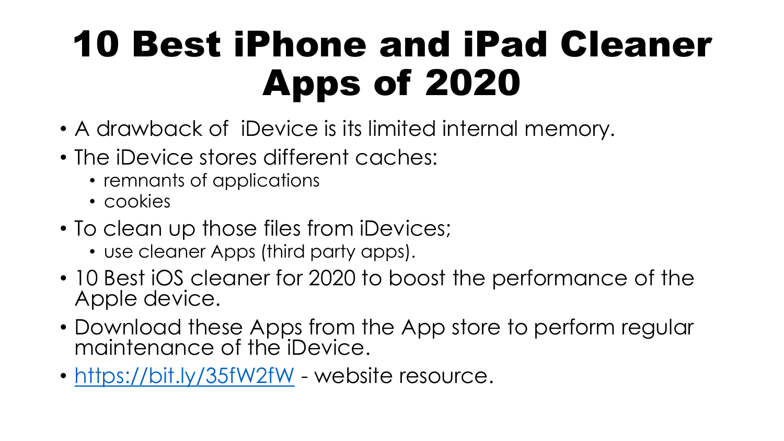#### 10 Best iPhone and iPad Cleaner Apps of 2020

- A drawback of iDevice is its limited internal memory.
- The iDevice stores different caches:
	- remnants of applications
	- cookies
- To clean up those files from iDevices;
	- use cleaner Apps (third party apps).
- 10 Best iOS cleaner for 2020 to boost the performance of the Apple device.
- Download these Apps from the App store to perform regular maintenance of the iDevice.
- <https://bit.ly/35fW2fW> website resource.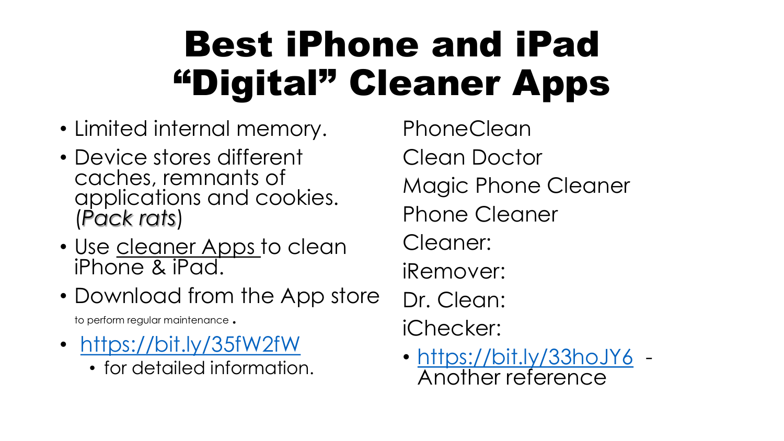#### Best iPhone and iPad "Digital" Cleaner Apps

- Limited internal memory.
- Device stores different caches, remnants of applications and cookies. (*Pack rats*)
- Use cleaner Apps to clean iPhone & iPad.
- Download from the App store

to perform regular maintenance .

- <https://bit.ly/35fW2fW>
	- for detailed information.

PhoneClean Clean Doctor Magic Phone Cleaner Phone Cleaner Cleaner: iRemover: Dr. Clean: iChecker:

• <https://bit.ly/33hoJY6> -Another reference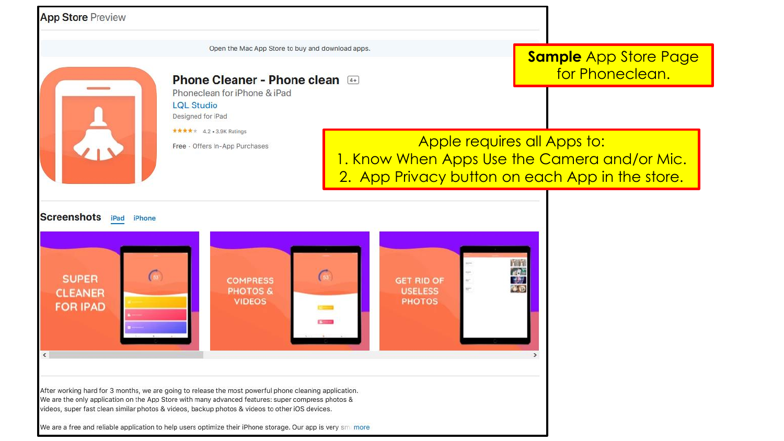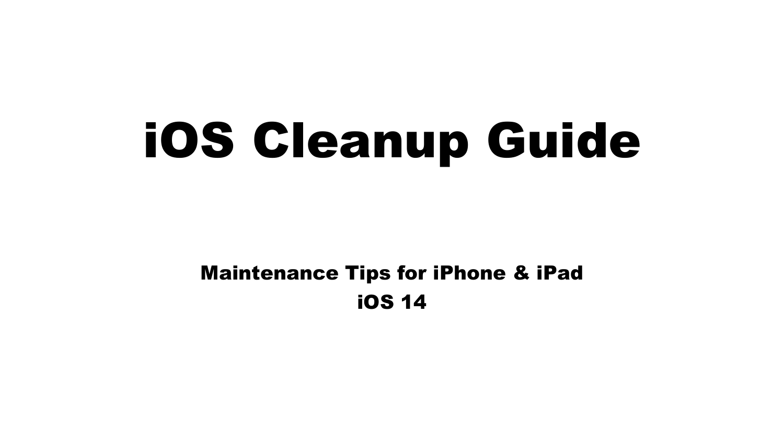# iOS Cleanup Guide

#### Maintenance Tips for iPhone & iPad iOS 14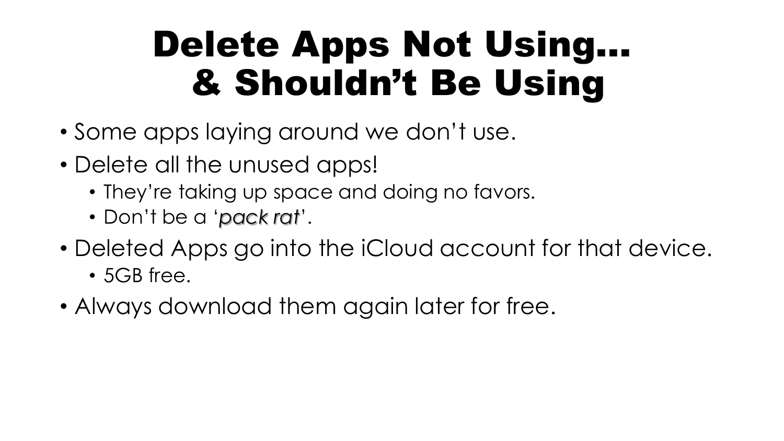#### Delete Apps Not Using… & Shouldn't Be Using

- Some apps laying around we don't use.
- Delete all the unused apps!
	- They're taking up space and doing no favors.
	- Don't be a '*pack rat*'.
- Deleted Apps go into the iCloud account for that device.
	- 5GB free.
- Always download them again later for free.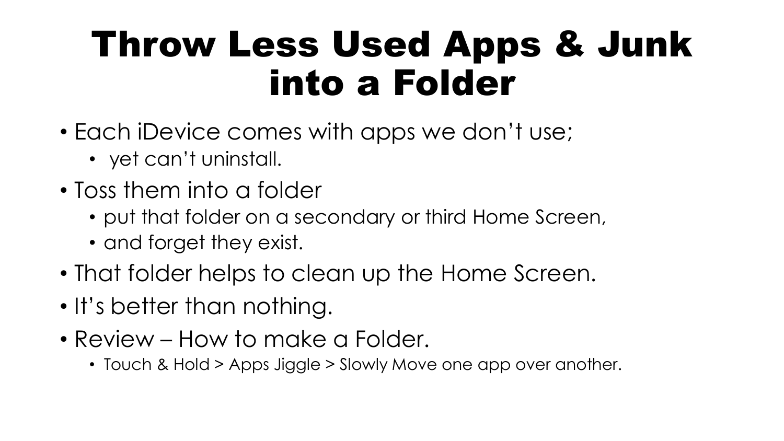#### Throw Less Used Apps & Junk into a Folder

- Each iDevice comes with apps we don't use;
	- yet can't uninstall.
- Toss them into a folder
	- put that folder on a secondary or third Home Screen,
	- and forget they exist.
- That folder helps to clean up the Home Screen.
- It's better than nothing.
- Review How to make a Folder.
	- Touch & Hold > Apps Jiggle > Slowly Move one app over another.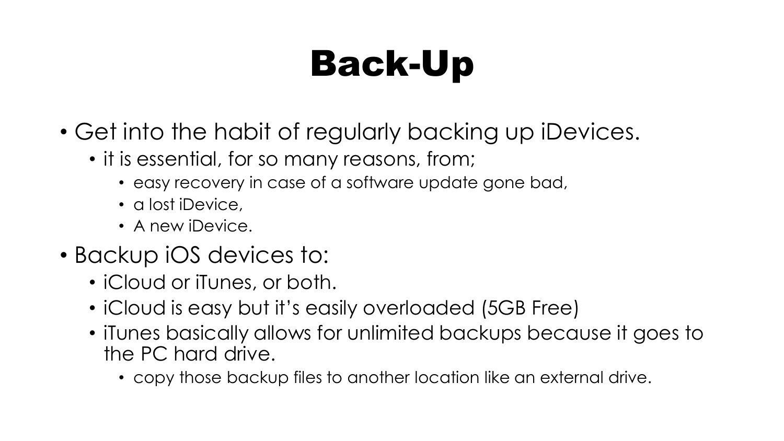### Back-Up

- Get into the habit of regularly backing up iDevices.
	- it is essential, for so many reasons, from;
		- easy recovery in case of a software update gone bad,
		- a lost iDevice,
		- A new iDevice.
- Backup iOS devices to:
	- iCloud or iTunes, or both.
	- iCloud is easy but it's easily overloaded (5GB Free)
	- iTunes basically allows for unlimited backups because it goes to the PC hard drive.
		- copy those backup files to another location like an external drive.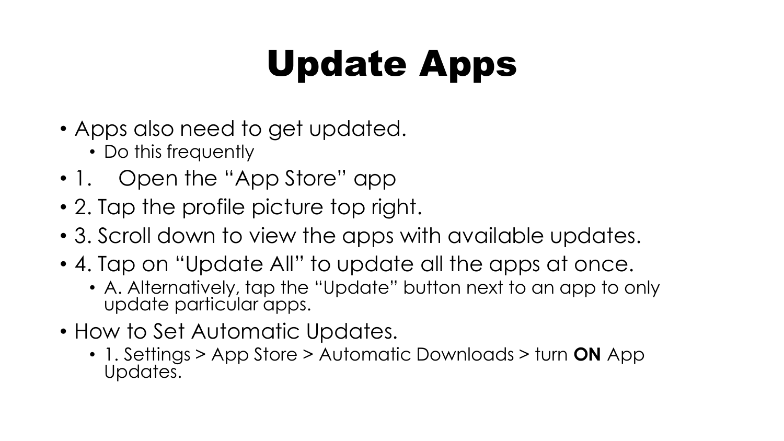### Update Apps

- Apps also need to get updated.
	- Do this frequently
- 1. Open the "App Store" app
- 2. Tap the profile picture top right.
- 3. Scroll down to view the apps with available updates.
- 4. Tap on "Update All" to update all the apps at once.
	- A. Alternatively, tap the "Update" button next to an app to only update particular apps.
- How to Set Automatic Updates.
	- 1. Settings > App Store > Automatic Downloads > turn **ON** App Updates.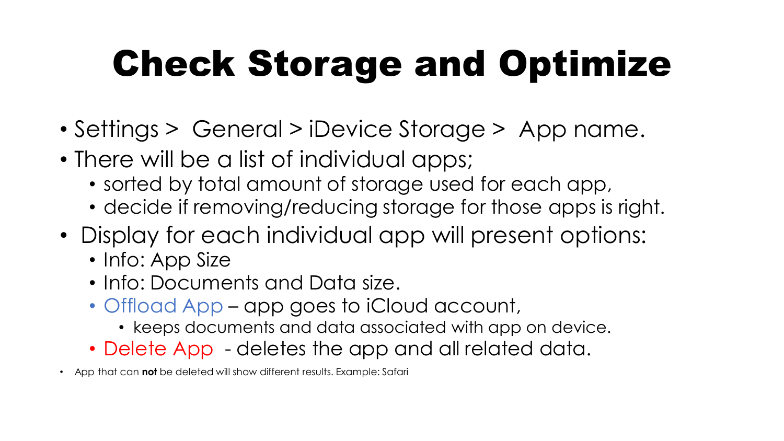### Check Storage and Optimize

- Settings > General > iDevice Storage > App name.
- There will be a list of individual apps;
	- sorted by total amount of storage used for each app,
	- decide if removing/reducing storage for those apps is right.
- Display for each individual app will present options:
	- Info: App Size
	- Info: Documents and Data size.
	- Offload App app goes to iCloud account,
		- keeps documents and data associated with app on device.
	- Delete App deletes the app and all related data.
- App that can **not** be deleted will show different results. Example: Safari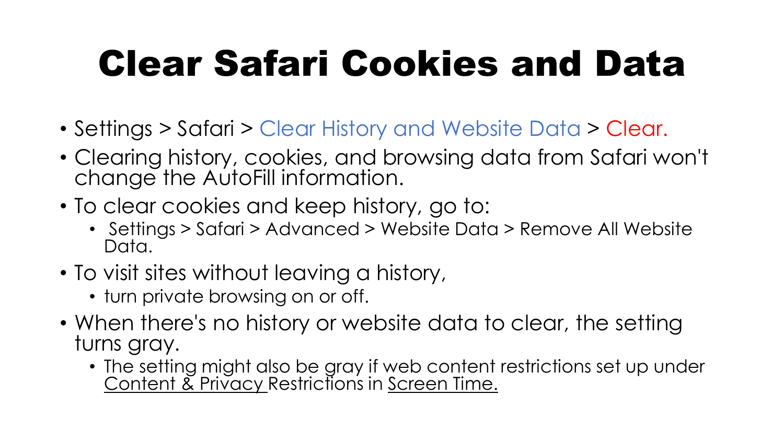### Clear Safari Cookies and Data

- Settings > Safari > Clear History and Website Data > Clear.
- Clearing history, cookies, and browsing data from Safari won't change the AutoFill information.
- To clear cookies and keep history, go to:
	- Settings > Safari > Advanced > Website Data > Remove All Website Data.
- To visit sites without leaving a history,
	- turn private browsing on or off.
- When there's no history or website data to clear, the setting turns gray.
	- The setting might also be gray if web content restrictions set up under Content & Privacy Restrictions in Screen Time.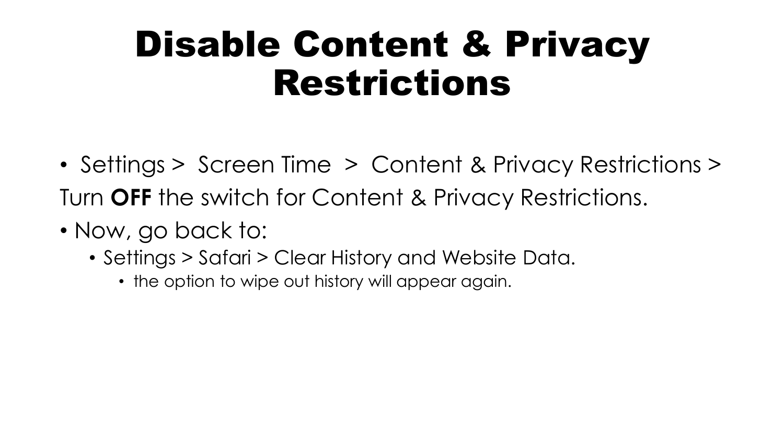#### Disable Content & Privacy Restrictions

- Settings > Screen Time > Content & Privacy Restrictions > Turn **OFF** the switch for Content & Privacy Restrictions.
- Now, go back to:
	- Settings > Safari > Clear History and Website Data.
		- the option to wipe out history will appear again.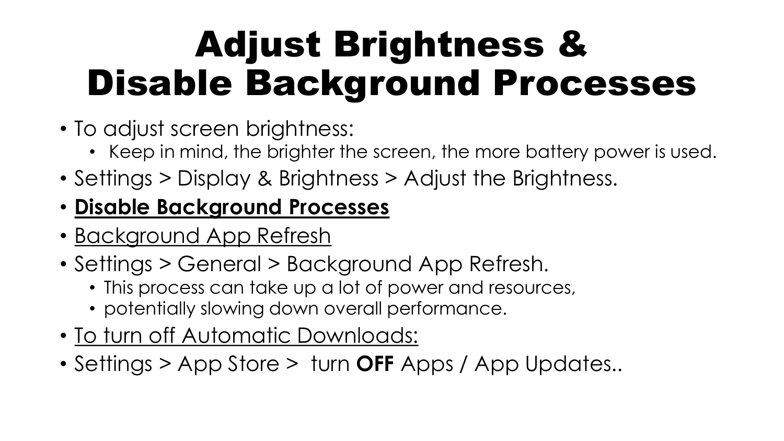#### Adjust Brightness & Disable Background Processes

- To adjust screen brightness:
	- Keep in mind, the brighter the screen, the more battery power is used.
- Settings > Display & Brightness > Adjust the Brightness.

#### • **Disable Background Processes**

- Background App Refresh
- Settings > General > Background App Refresh.
	- This process can take up a lot of power and resources,
	- potentially slowing down overall performance.
- To turn off Automatic Downloads:
- Settings > App Store > turn **OFF** Apps / App Updates..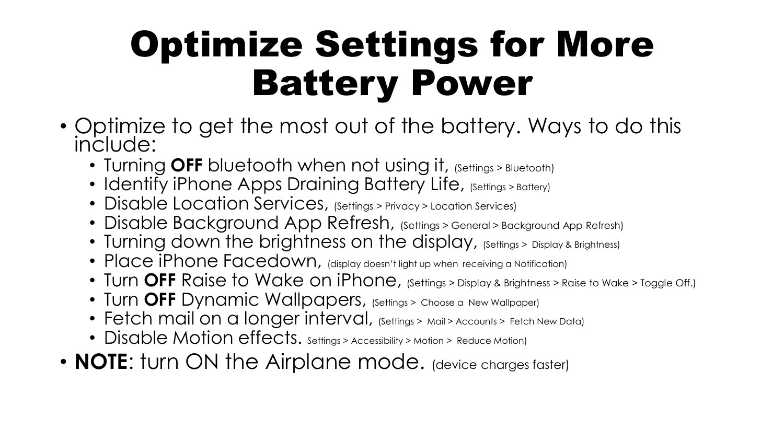#### Optimize Settings for More Battery Power

- Optimize to get the most out of the battery. Ways to do this include:
	- Turning **OFF** bluetooth when not using it, (Settings > Bluetooth)
	- Identify iPhone Apps Draining Battery Life, (Settings > Battery)
	- Disable Location Services, (Settings > Privacy > Location Services)
	- Disable Background App Refresh, (Settings > General > Background App Refresh)
	- Turning down the brightness on the display, (Settings > Display & Brightness)
	- Place iPhone Facedown, (display doesn't light up when receiving a Notification)
	- Turn **OFF** Raise to Wake on iPhone, (Settings > Display & Brightness > Raise to Wake > Toggle Off.)
	- Turn OFF Dynamic Wallpapers, (Settings > Choose a New Wallpaper)
	- Fetch mail on a longer interval, (Settings > Mail > Accounts > Fetch New Data)
	- Disable Motion effects. Settings > Accessibility > Motion > Reduce Motion)
- **NOTE:** furn ON the Airplane mode. (device charges faster)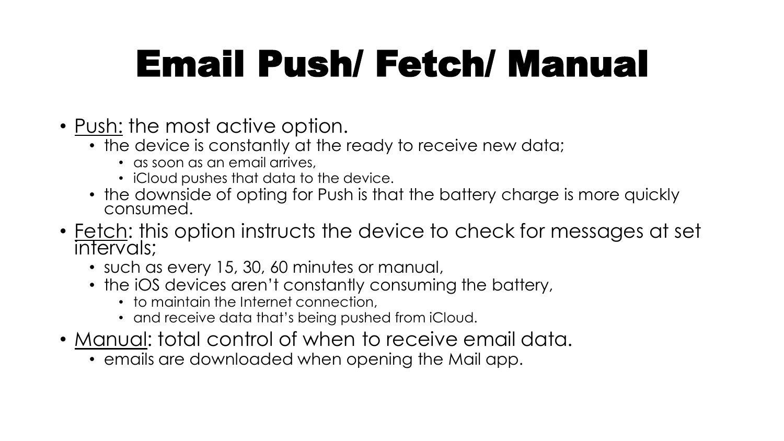#### Email Push/ Fetch/ Manual

- Push: the most active option.
	- the device is constantly at the ready to receive new data;
		- as soon as an email arrives,
		- iCloud pushes that data to the device.
	- the downside of opting for Push is that the battery charge is more quickly consumed.
- Fetch: this option instructs the device to check for messages at set intervals;
	- such as every 15, 30, 60 minutes or manual,
	- the iOS devices aren't constantly consuming the battery,
		- to maintain the Internet connection,
		- and receive data that's being pushed from iCloud.
- Manual: total control of when to receive email data.
	- emails are downloaded when opening the Mail app.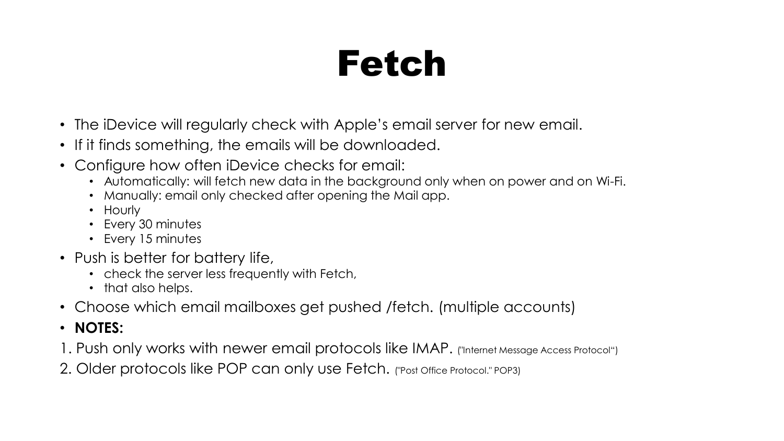#### Fetch

- The iDevice will regularly check with Apple's email server for new email.
- If it finds something, the emails will be downloaded.
- Configure how often iDevice checks for email:
	- Automatically: will fetch new data in the background only when on power and on Wi-Fi.
	- Manually: email only checked after opening the Mail app.
	- Hourly
	- Every 30 minutes
	- Every 15 minutes
- Push is better for battery life,
	- check the server less frequently with Fetch,
	- that also helps.
- Choose which email mailboxes get pushed /fetch. (multiple accounts)
- **NOTES:**
- 1. Push only works with newer email protocols like IMAP. ("Internet Message Access Protocol")
- 2. Older protocols like POP can only use Fetch. ("Post Office Protocol." POP3)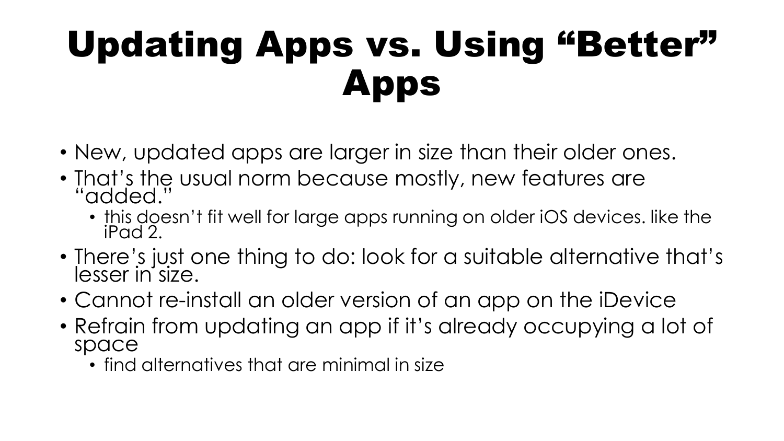#### Updating Apps vs. Using "Better" Apps

- New, updated apps are larger in size than their older ones.
- That's the usual norm because mostly, new features are "added."
	- this doesn't fit well for large apps running on older iOS devices. like the iPad 2.
- There's just one thing to do: look for a suitable alternative that's lesser in size.
- Cannot re-install an older version of an app on the iDevice
- Refrain from updating an app if it's already occupying a lot of space
	- find alternatives that are minimal in size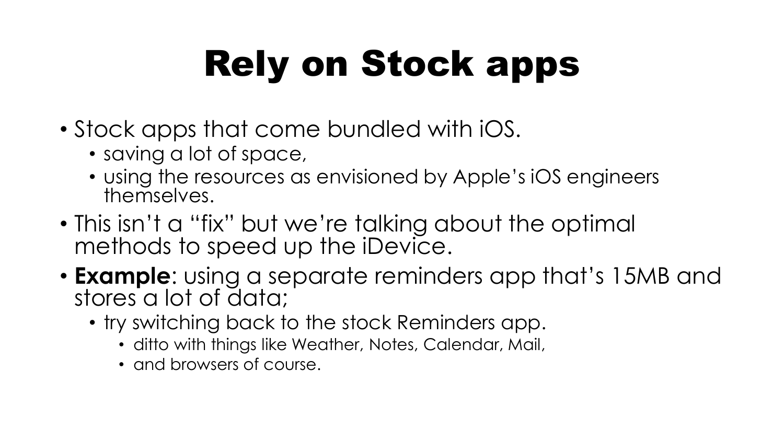## Rely on Stock apps

- Stock apps that come bundled with iOS.
	- saving a lot of space,
	- using the resources as envisioned by Apple's iOS engineers themselves.
- This isn't a "fix" but we're talking about the optimal methods to speed up the iDevice.
- **Example**: using a separate reminders app that's 15MB and stores a lot of data;
	- try switching back to the stock Reminders app.
		- ditto with things like Weather, Notes, Calendar, Mail,
		- and browsers of course.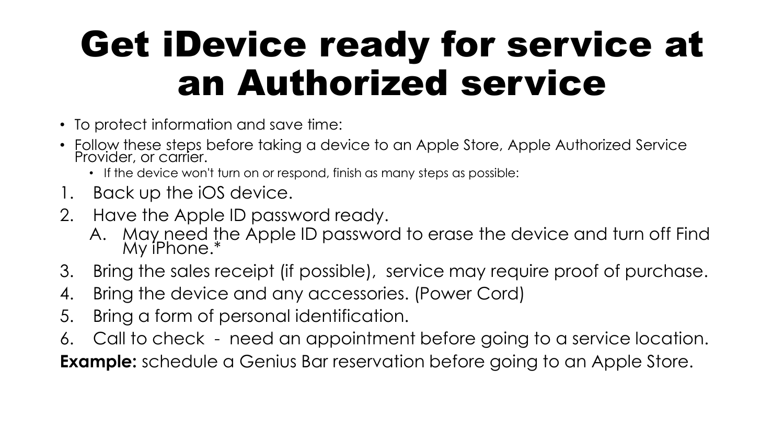#### Get iDevice ready for service at an Authorized service

- To protect information and save time:
- Follow these steps before taking a device to an Apple Store, Apple Authorized Service Provider, or carrier.
	- If the device won't turn on or respond, finish as many steps as possible:
- 1. Back up the iOS device.
- 2. Have the Apple ID password ready.
	- A. May need the Apple ID password to erase the device and turn off Find My iPhone.\*
- 3. Bring the sales receipt (if possible), service may require proof of purchase.
- 4. Bring the device and any accessories. (Power Cord)
- 5. Bring a form of personal identification.
- 6. Call to check need an appointment before going to a service location.

**Example:** schedule a Genius Bar reservation before going to an Apple Store.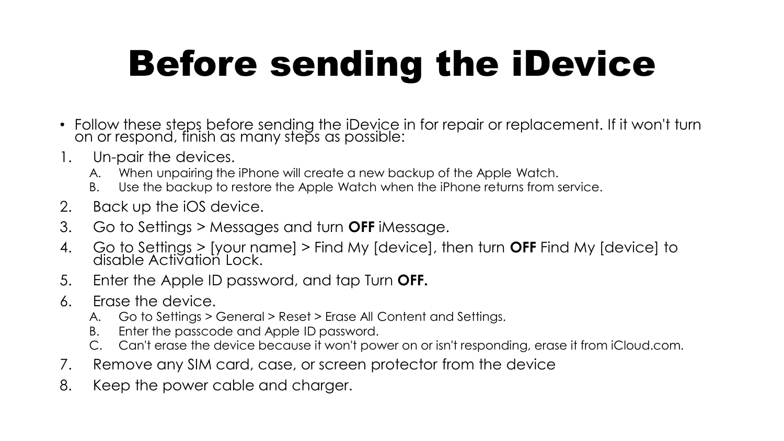#### Before sending the iDevice

- Follow these steps before sending the iDevice in for repair or replacement. If it won't turn on or respond, finish as many steps as possible:
- 1. Un-pair the devices.
	- A. When unpairing the iPhone will create a new backup of the Apple Watch.
	- B. Use the backup to restore the Apple Watch when the iPhone returns from service.
- 2. Back up the iOS device.
- 3. Go to Settings > Messages and turn **OFF** iMessage.
- 4. Go to Settings > [your name] > Find My [device], then turn **OFF** Find My [device] to disable Activation Lock.
- 5. Enter the Apple ID password, and tap Turn **OFF.**
- 6. Erase the device.
	- A. Go to Settings > General > Reset > Erase All Content and Settings.
	- B. Enter the passcode and Apple ID password.
	- Can't erase the device because it won't power on or isn't responding, erase it from iCloud.com.
- 7. Remove any SIM card, case, or screen protector from the device
- 8. Keep the power cable and charger.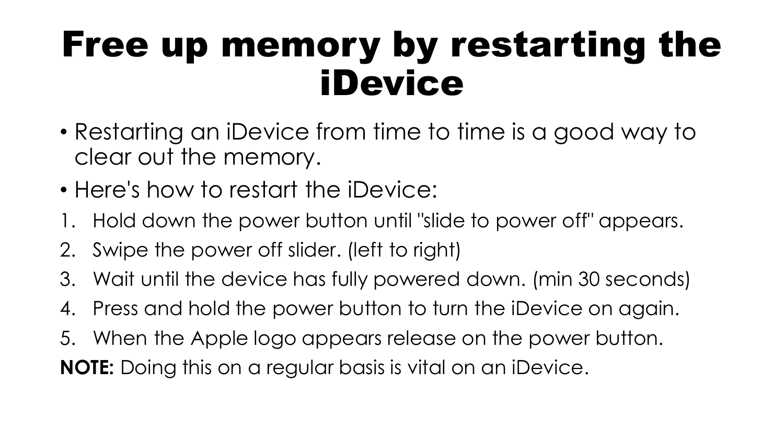#### Free up memory by restarting the iDevice

- Restarting an iDevice from time to time is a good way to clear out the memory.
- Here's how to restart the iDevice:
- 1. Hold down the power button until "slide to power off" appears.
- 2. Swipe the power off slider. (left to right)
- 3. Wait until the device has fully powered down. (min 30 seconds)
- 4. Press and hold the power button to turn the iDevice on again.
- 5. When the Apple logo appears release on the power button.

**NOTE:** Doing this on a regular basis is vital on an iDevice.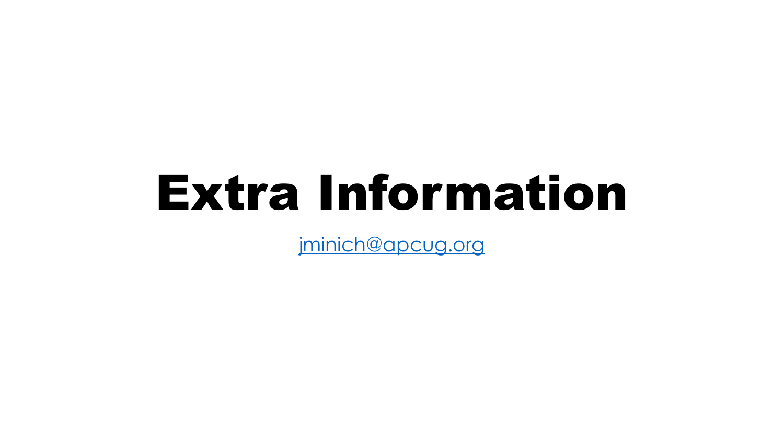# Extra Information

[jminich@apcug.org](mailto:jminich@apcug.org)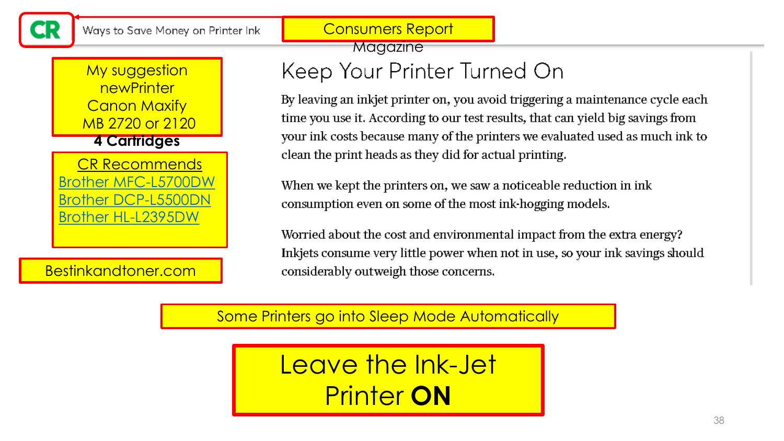Consumers Report

#### My suggestion **newPrinter Canon Maxify** MB 2720 or 2120 **4 Cartridges**

[CR Recommends](https://www.consumerreports.org/products/printers-28966/all-in-one-printer-28714/brother-mfc-l5700dw-386403/) [Brother MFC-L5700DW](https://www.consumerreports.org/products/printers-28966/all-in-one-printer-28714/brother-mfc-l5700dw-386403/) [Brother DCP-L5500DN](https://www.consumerreports.org/products/printers-28966/all-in-one-printer-28714/brother-dcp-l5500dn-386404/) [Brother HL-L2395DW](https://www.consumerreports.org/products/printers-28966/all-in-one-printer-28714/brother-hl-l2395dw-396001/) 

Bestinkandtoner.com

**Magazine** 

#### Keep Your Printer Turned On

By leaving an inkjet printer on, you avoid triggering a maintenance cycle each time you use it. According to our test results, that can yield big savings from your ink costs because many of the printers we evaluated used as much ink to clean the print heads as they did for actual printing.

When we kept the printers on, we saw a noticeable reduction in ink consumption even on some of the most ink-hogging models.

Worried about the cost and environmental impact from the extra energy? Inkjets consume very little power when not in use, so your ink savings should considerably outweigh those concerns.

Some Printers go into Sleep Mode Automatically

Leave the Ink-Jet Printer **ON**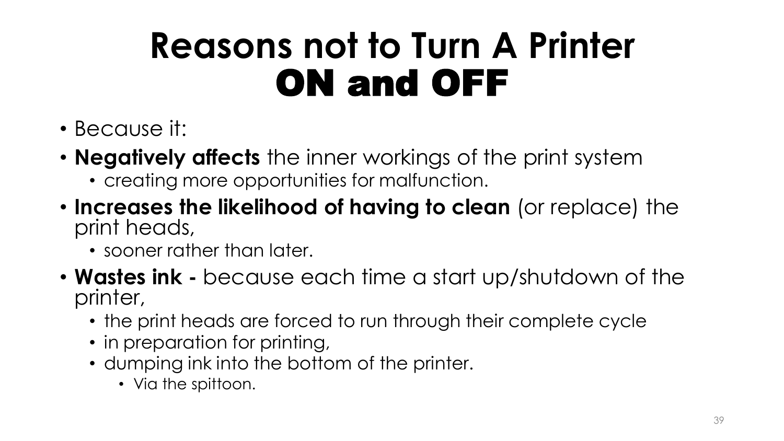#### **Reasons not to Turn A Printer**  ON and OFF

- Because it:
- **Negatively affects** the inner workings of the print system
	- creating more opportunities for malfunction.
- **Increases the likelihood of having to clean** (or replace) the print heads,
	- sooner rather than later.
- **Wastes ink -** because each time a start up/shutdown of the printer,
	- the print heads are forced to run through their complete cycle
	- in preparation for printing,
	- dumping ink into the bottom of the printer.
		- Via the spittoon.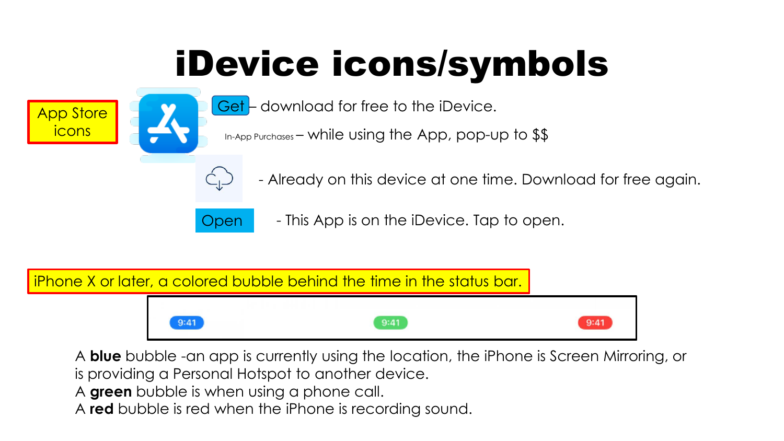### iDevice icons/symbols





In-App Purchases – while using the App, pop-up to \$\$



- Already on this device at one time. Download for free again.
- Open  **This App is on the iDevice. Tap to open.**

iPhone X or later, a colored bubble behind the time in the status bar.



A **blue** bubble -an app is currently using the location, the iPhone is Screen Mirroring, or

is providing a Personal Hotspot to another device.

A **green** bubble is when using a phone call.

A **red** bubble is red when the iPhone is recording sound.